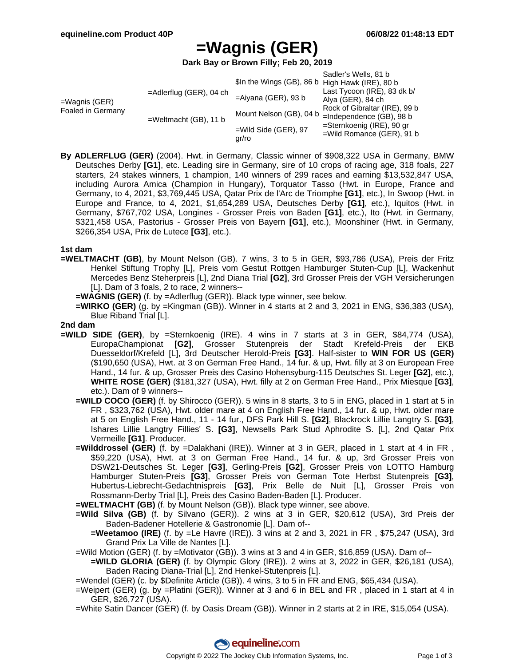# **=Wagnis (GER)**

**Dark Bay or Brown Filly; Feb 20, 2019**

|                                       |                            |                                                 | Sadler's Wells, 81 b          |
|---------------------------------------|----------------------------|-------------------------------------------------|-------------------------------|
| $=$ Wagnis (GER)<br>Foaled in Germany | $=$ Adlerflug (GER), 04 ch | \$In the Wings (GB), 86 b High Hawk (IRE), 80 b |                               |
|                                       |                            |                                                 | Last Tycoon (IRE), 83 dk b/   |
|                                       |                            | $=$ Aiyana (GER), 93 b                          | Alya (GER), 84 ch             |
|                                       | $=$ Weltmacht (GB), 11 b   | Mount Nelson (GB), 04 b                         | Rock of Gibraltar (IRE), 99 b |
|                                       |                            |                                                 | $=$ Independence (GB), 98 b   |
|                                       |                            | $=$ Wild Side (GER), 97<br>qr/ro                | =Sternkoenig (IRE), 90 gr     |
|                                       |                            |                                                 | $=$ Wild Romance (GER), 91 b  |
|                                       |                            |                                                 |                               |

**By ADLERFLUG (GER)** (2004). Hwt. in Germany, Classic winner of \$908,322 USA in Germany, BMW Deutsches Derby **[G1]**, etc. Leading sire in Germany, sire of 10 crops of racing age, 318 foals, 227 starters, 24 stakes winners, 1 champion, 140 winners of 299 races and earning \$13,532,847 USA, including Aurora Amica (Champion in Hungary), Torquator Tasso (Hwt. in Europe, France and Germany, to 4, 2021, \$3,769,445 USA, Qatar Prix de l'Arc de Triomphe **[G1]**, etc.), In Swoop (Hwt. in Europe and France, to 4, 2021, \$1,654,289 USA, Deutsches Derby **[G1]**, etc.), Iquitos (Hwt. in Germany, \$767,702 USA, Longines - Grosser Preis von Baden **[G1]**, etc.), Ito (Hwt. in Germany, \$321,458 USA, Pastorius - Grosser Preis von Bayern **[G1]**, etc.), Moonshiner (Hwt. in Germany, \$266,354 USA, Prix de Lutece **[G3]**, etc.).

#### **1st dam**

- **=WELTMACHT (GB)**, by Mount Nelson (GB). 7 wins, 3 to 5 in GER, \$93,786 (USA), Preis der Fritz Henkel Stiftung Trophy [L], Preis vom Gestut Rottgen Hamburger Stuten-Cup [L], Wackenhut Mercedes Benz Steherpreis [L], 2nd Diana Trial **[G2]**, 3rd Grosser Preis der VGH Versicherungen [L]. Dam of 3 foals, 2 to race, 2 winners--
	- **=WAGNIS (GER)** (f. by =Adlerflug (GER)). Black type winner, see below.
	- **=WIRKO (GER)** (g. by =Kingman (GB)). Winner in 4 starts at 2 and 3, 2021 in ENG, \$36,383 (USA), Blue Riband Trial [L].

#### **2nd dam**

- **=WILD SIDE (GER)**, by =Sternkoenig (IRE). 4 wins in 7 starts at 3 in GER, \$84,774 (USA), EuropaChampionat **[G2]**, Grosser Stutenpreis der Stadt Krefeld-Preis der EKB Duesseldorf/Krefeld [L], 3rd Deutscher Herold-Preis **[G3]**. Half-sister to **WIN FOR US (GER)** (\$190,650 (USA), Hwt. at 3 on German Free Hand., 14 fur. & up, Hwt. filly at 3 on European Free Hand., 14 fur. & up, Grosser Preis des Casino Hohensyburg-115 Deutsches St. Leger **[G2]**, etc.), **WHITE ROSE (GER)** (\$181,327 (USA), Hwt. filly at 2 on German Free Hand., Prix Miesque **[G3]**, etc.). Dam of 9 winners--
	- **=WILD COCO (GER)** (f. by Shirocco (GER)). 5 wins in 8 starts, 3 to 5 in ENG, placed in 1 start at 5 in FR , \$323,762 (USA), Hwt. older mare at 4 on English Free Hand., 14 fur. & up, Hwt. older mare at 5 on English Free Hand., 11 - 14 fur., DFS Park Hill S. **[G2]**, Blackrock Lillie Langtry S. **[G3]**, Ishares Lillie Langtry Fillies' S. **[G3]**, Newsells Park Stud Aphrodite S. [L], 2nd Qatar Prix Vermeille **[G1]**. Producer.
	- **=Wilddrossel (GER)** (f. by =Dalakhani (IRE)). Winner at 3 in GER, placed in 1 start at 4 in FR , \$59,220 (USA), Hwt. at 3 on German Free Hand., 14 fur. & up, 3rd Grosser Preis von DSW21-Deutsches St. Leger **[G3]**, Gerling-Preis **[G2]**, Grosser Preis von LOTTO Hamburg Hamburger Stuten-Preis **[G3]**, Grosser Preis von German Tote Herbst Stutenpreis **[G3]**, Hubertus-Liebrecht-Gedachtnispreis **[G3]**, Prix Belle de Nuit [L], Grosser Preis von Rossmann-Derby Trial [L], Preis des Casino Baden-Baden [L]. Producer.

**=WELTMACHT (GB)** (f. by Mount Nelson (GB)). Black type winner, see above.

- **=Wild Silva (GB)** (f. by Silvano (GER)). 2 wins at 3 in GER, \$20,612 (USA), 3rd Preis der Baden-Badener Hotellerie & Gastronomie [L]. Dam of--
	- **=Weetamoo (IRE)** (f. by =Le Havre (IRE)). 3 wins at 2 and 3, 2021 in FR , \$75,247 (USA), 3rd Grand Prix La Ville de Nantes [L].
- =Wild Motion (GER) (f. by =Motivator (GB)). 3 wins at 3 and 4 in GER, \$16,859 (USA). Dam of--
	- **=WILD GLORIA (GER)** (f. by Olympic Glory (IRE)). 2 wins at 3, 2022 in GER, \$26,181 (USA), Baden Racing Diana-Trial [L], 2nd Henkel-Stutenpreis [L].

=Wendel (GER) (c. by \$Definite Article (GB)). 4 wins, 3 to 5 in FR and ENG, \$65,434 (USA).

=Weipert (GER) (g. by =Platini (GER)). Winner at 3 and 6 in BEL and FR , placed in 1 start at 4 in GER, \$26,727 (USA).

=White Satin Dancer (GER) (f. by Oasis Dream (GB)). Winner in 2 starts at 2 in IRE, \$15,054 (USA).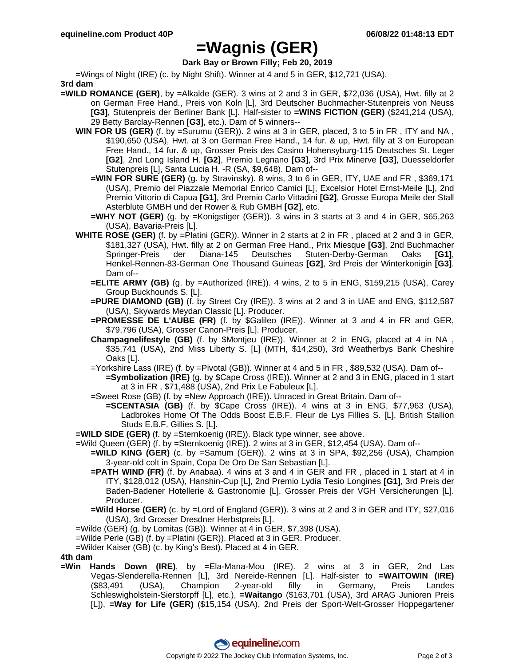## **=Wagnis (GER)**

## **Dark Bay or Brown Filly; Feb 20, 2019**

=Wings of Night (IRE) (c. by Night Shift). Winner at 4 and 5 in GER, \$12,721 (USA).

- **3rd dam**
- **=WILD ROMANCE (GER)**, by =Alkalde (GER). 3 wins at 2 and 3 in GER, \$72,036 (USA), Hwt. filly at 2 on German Free Hand., Preis von Koln [L], 3rd Deutscher Buchmacher-Stutenpreis von Neuss **[G3]**, Stutenpreis der Berliner Bank [L]. Half-sister to **=WINS FICTION (GER)** (\$241,214 (USA), 29 Betty Barclay-Rennen **[G3]**, etc.). Dam of 5 winners--
	- **WIN FOR US (GER)** (f. by =Surumu (GER)). 2 wins at 3 in GER, placed, 3 to 5 in FR , ITY and NA , \$190,650 (USA), Hwt. at 3 on German Free Hand., 14 fur. & up, Hwt. filly at 3 on European Free Hand., 14 fur. & up, Grosser Preis des Casino Hohensyburg-115 Deutsches St. Leger **[G2]**, 2nd Long Island H. **[G2]**, Premio Legnano **[G3]**, 3rd Prix Minerve **[G3]**, Duesseldorfer Stutenpreis [L], Santa Lucia H. -R (SA, \$9,648). Dam of--
		- **=WIN FOR SURE (GER)** (g. by Stravinsky). 8 wins, 3 to 6 in GER, ITY, UAE and FR , \$369,171 (USA), Premio del Piazzale Memorial Enrico Camici [L], Excelsior Hotel Ernst-Meile [L], 2nd Premio Vittorio di Capua **[G1]**, 3rd Premio Carlo Vittadini **[G2]**, Grosse Europa Meile der Stall Asterblute GMBH und der Rower & Rub GMBH **[G2]**, etc.
		- **=WHY NOT (GER)** (g. by =Konigstiger (GER)). 3 wins in 3 starts at 3 and 4 in GER, \$65,263 (USA), Bavaria-Preis [L].
	- **WHITE ROSE (GER)** (f. by =Platini (GER)). Winner in 2 starts at 2 in FR , placed at 2 and 3 in GER, \$181,327 (USA), Hwt. filly at 2 on German Free Hand., Prix Miesque **[G3]**, 2nd Buchmacher Springer-Preis der Diana-145 Deutsches Stuten-Derby-German Oaks **[G1]**, Henkel-Rennen-83-German One Thousand Guineas **[G2]**, 3rd Preis der Winterkonigin **[G3]**. Dam of--
		- **=ELITE ARMY (GB)** (g. by =Authorized (IRE)). 4 wins, 2 to 5 in ENG, \$159,215 (USA), Carey Group Buckhounds S. [L].
		- **=PURE DIAMOND (GB)** (f. by Street Cry (IRE)). 3 wins at 2 and 3 in UAE and ENG, \$112,587 (USA), Skywards Meydan Classic [L]. Producer.
		- **=PROMESSE DE L'AUBE (FR)** (f. by \$Galileo (IRE)). Winner at 3 and 4 in FR and GER, \$79,796 (USA), Grosser Canon-Preis [L]. Producer.
		- **Champagnelifestyle (GB)** (f. by \$Montjeu (IRE)). Winner at 2 in ENG, placed at 4 in NA , \$35,741 (USA), 2nd Miss Liberty S. [L] (MTH, \$14,250), 3rd Weatherbys Bank Cheshire Oaks [L].
		- =Yorkshire Lass (IRE) (f. by =Pivotal (GB)). Winner at 4 and 5 in FR , \$89,532 (USA). Dam of-- **=Symbolization (IRE)** (g. by \$Cape Cross (IRE)). Winner at 2 and 3 in ENG, placed in 1 start at 3 in FR , \$71,488 (USA), 2nd Prix Le Fabuleux [L].
		- =Sweet Rose (GB) (f. by =New Approach (IRE)). Unraced in Great Britain. Dam of--
		- **=SCENTASIA (GB)** (f. by \$Cape Cross (IRE)). 4 wins at 3 in ENG, \$77,963 (USA), Ladbrokes Home Of The Odds Boost E.B.F. Fleur de Lys Fillies S. [L], British Stallion Studs E.B.F. Gillies S. [L].
	- **=WILD SIDE (GER)** (f. by =Sternkoenig (IRE)). Black type winner, see above.
	- =Wild Queen (GER) (f. by =Sternkoenig (IRE)). 2 wins at 3 in GER, \$12,454 (USA). Dam of--
		- **=WILD KING (GER)** (c. by =Samum (GER)). 2 wins at 3 in SPA, \$92,256 (USA), Champion 3-year-old colt in Spain, Copa De Oro De San Sebastian [L].
		- **=PATH WIND (FR)** (f. by Anabaa). 4 wins at 3 and 4 in GER and FR , placed in 1 start at 4 in ITY, \$128,012 (USA), Hanshin-Cup [L], 2nd Premio Lydia Tesio Longines **[G1]**, 3rd Preis der Baden-Badener Hotellerie & Gastronomie [L], Grosser Preis der VGH Versicherungen [L]. Producer.
		- **=Wild Horse (GER)** (c. by =Lord of England (GER)). 3 wins at 2 and 3 in GER and ITY, \$27,016 (USA), 3rd Grosser Dresdner Herbstpreis [L].

=Wilde (GER) (g. by Lomitas (GB)). Winner at 4 in GER, \$7,398 (USA).

- =Wilde Perle (GB) (f. by =Platini (GER)). Placed at 3 in GER. Producer.
- =Wilder Kaiser (GB) (c. by King's Best). Placed at 4 in GER.

### **4th dam**

**=Win Hands Down (IRE)**, by =Ela-Mana-Mou (IRE). 2 wins at 3 in GER, 2nd Las Vegas-Slenderella-Rennen [L], 3rd Nereide-Rennen [L]. Half-sister to **=WAITOWIN (IRE)** (\$83,491 (USA), Champion 2-year-old filly in Germany, Preis Landes Schleswigholstein-Sierstorpff [L], etc.), **=Waitango** (\$163,701 (USA), 3rd ARAG Junioren Preis [L]), **=Way for Life (GER)** (\$15,154 (USA), 2nd Preis der Sport-Welt-Grosser Hoppegartener